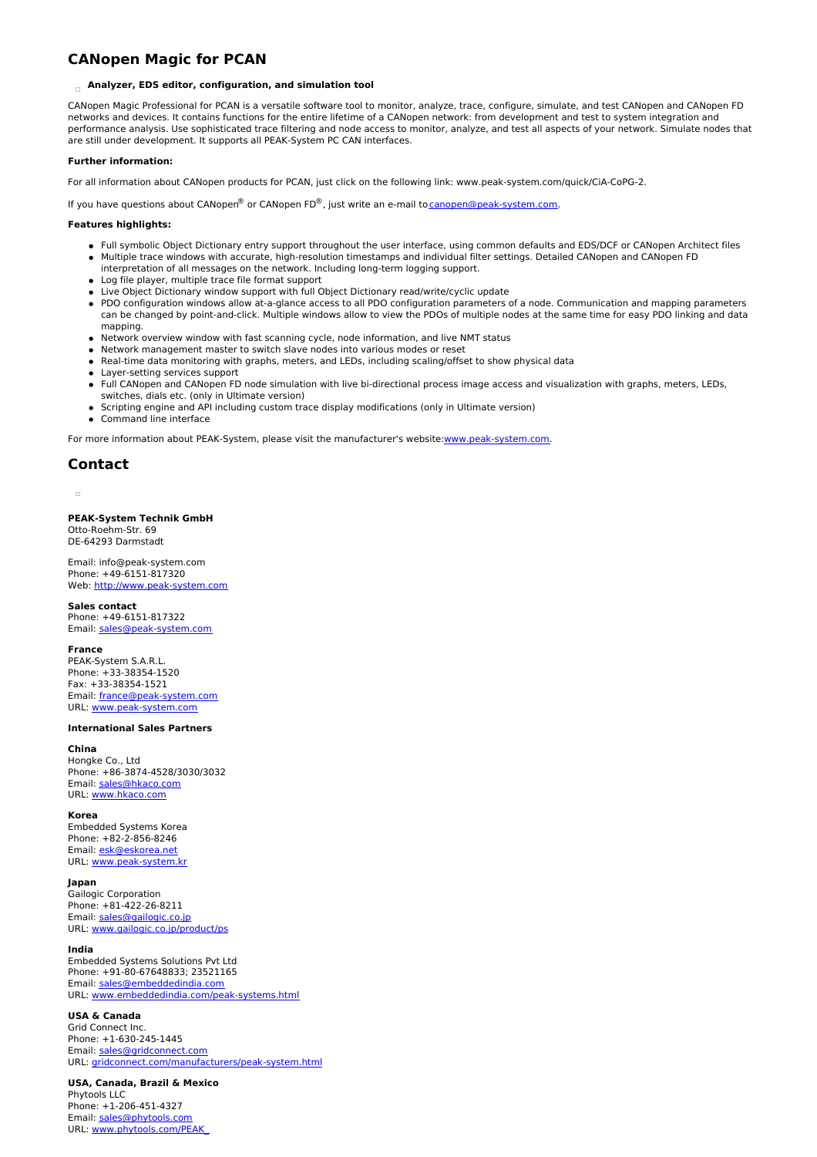# **CANopen Magic for PCAN**

## **Analyzer, EDS editor, configuration, and simulation tool**

CANopen Magic Professional for PCAN is a versatile software tool to monitor, analyze, trace, configure, simulate, and test CANopen and CANopen FD networks and devices. It contains functions for the entire lifetime of a CANopen network: from development and test to system integration and performance analysis. Use sophisticated trace filtering and node access to monitor, analyze, and test all aspects of your network. Simulate nodes that are still under development. It supports all PEAK-System PC CAN interfaces.

### **Further information:**

For all information about CANopen products for PCAN, just click on the following link: www.peak-system.com/quick/CiA-CoPG-2.

If you have questions about CANopen® or CANopen FD®, just write an e-mail to [canopen@peak-system.com](mailto:canopen@peak-system.com).

### **Features highlights:**

- Full symbolic Object Dictionary entry support throughout the user interface, using common defaults and EDS/DCF or CANopen Architect files
- Multiple trace windows with accurate, high-resolution timestamps and individual filter settings. Detailed CANopen and CANopen FD
- interpretation of all messages on the network. Including long-term logging support. Log file player, multiple trace file format support
- Live Object Dictionary window support with full Object Dictionary read/write/cyclic update
- PDO configuration windows allow at-a-glance access to all PDO configuration parameters of a node. Communication and mapping parameters can be changed by point-and-click. Multiple windows allow to view the PDOs of multiple nodes at the same time for easy PDO linking and data mapping.
- Network overview window with fast scanning cycle, node information, and live NMT status
- Network management master to switch slave nodes into various modes or reset
- Real-time data monitoring with graphs, meters, and LEDs, including scaling/offset to show physical data
- Layer-setting services support
- Full CANopen and CANopen FD node simulation with live bi-directional process image access and visualization with graphs, meters, LEDs, switches, dials etc. (only in Ultimate version)
- Scripting engine and API including custom trace display modifications (only in Ultimate version)
- Command line interface

For more information about PEAK-System, please visit the manufacturer's website[:www.peak-system.com](http://www.peak-system.com).

## **Contact**

**PEAK-System Technik GmbH** Otto-Roehm-Str. 69 DE-64293 Darmstadt

Email: info@peak-system.com Phone: +49-6151-817320 Web: <http://www.peak-system.com>

#### **Sales contact**

Phone: +49-6151-817322 Email: [sales@peak-system.com](mailto:sales@peak-system.com)

#### **France**

PEAK-System S.A.R.L. Phone: +33-38354-1520 Fax: +33-38354-1521 Email: [france@peak-system.com](mailto:france@peak-system.com) URL: [www.peak-system.com](http://www.peak-system.com)

### **International Sales Partners**

## **China**

Hongke Co., Ltd Phone: +86-3874-4528/3030/3032 Email: [sales@hkaco.com](mailto:sales@hkaco.com) URL: [www.hkaco.com](http://www.hkaco.com)

#### **Korea**

Embedded Systems Korea Phone: +82-2-856-8246 Email: [esk@eskorea.net](mailto:esk@eskorea.net) URL: [www.peak-system.kr](http://www.peak-system.kr)

#### **Japan**

Gailogic Corporation Phone: +81-422-26-8211 Email: [sales@gailogic.co.jp](mailto:sales@gailogic.co.jp) URL: [www.gailogic.co.jp/product/ps](http://www.gailogic.co.jp/product/ps)

### **India**

Embedded Systems Solutions Pvt Ltd Phone: +91-80-67648833; 23521165 Email: [sales@embeddedindia.com](mailto:sales@embeddedindia.com) URL: [www.embeddedindia.com/peak-systems.html](http://www.embeddedindia.com/peak-systems.html)

#### **USA & Canada**

Grid Connect Inc. Phone: +1-630-245-1445 Email: [sales@gridconnect.com](mailto:sales@gridconnect.com) URL: [gridconnect.com/manufacturers/peak-system.html](http://gridconnect.com/manufacturers/peak-system.html)

**USA, Canada, Brazil & Mexico** Phytools LLC Phone: +1-206-451-4327 Email: [sales@phytools.com](mailto:sales@phytools.com) URL: [www.phytools.com/PEAK\\_](http://www.phytools.com/PEAK_System_Technik_s/1853.htm)